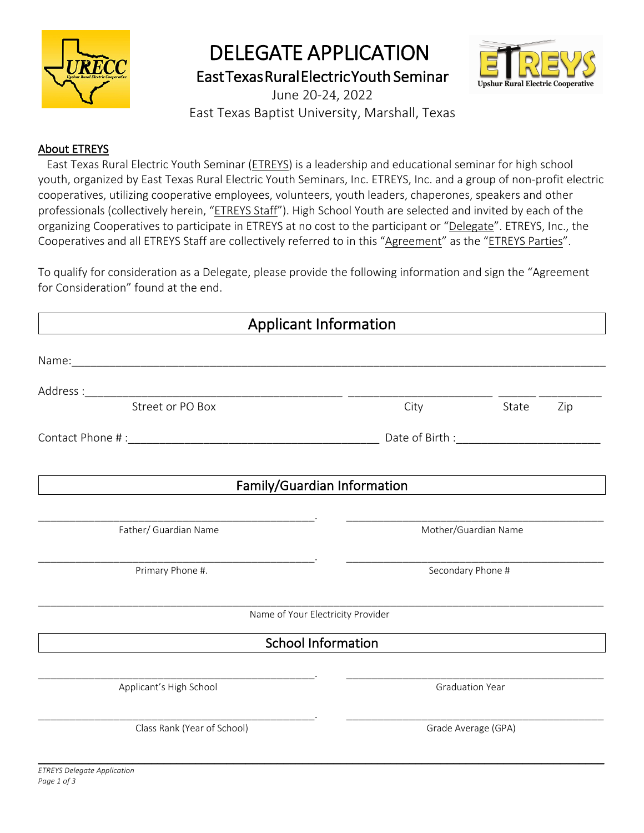

# DELEGATE APPLICATION

East Texas Rural Electric Youth Seminar



June 20-24, 2022 East Texas Baptist University, Marshall, Texas

### About ETREYS

 East Texas Rural Electric Youth Seminar (ETREYS) is a leadership and educational seminar for high school youth, organized by East Texas Rural Electric Youth Seminars, Inc. ETREYS, Inc. and a group of non-profit electric cooperatives, utilizing cooperative employees, volunteers, youth leaders, chaperones, speakers and other professionals (collectively herein, "ETREYS Staff"). High School Youth are selected and invited by each of the organizing Cooperatives to participate in ETREYS at no cost to the participant or "Delegate". ETREYS, Inc., the Cooperatives and all ETREYS Staff are collectively referred to in this "Agreement" as the "ETREYS Parties".

To qualify for consideration as a Delegate, please provide the following information and sign the "Agreement for Consideration" found at the end.

| <b>Applicant Information</b> |                                   |                        |  |  |  |
|------------------------------|-----------------------------------|------------------------|--|--|--|
|                              |                                   |                        |  |  |  |
|                              |                                   |                        |  |  |  |
|                              | City                              | <b>State</b><br>Zip    |  |  |  |
|                              |                                   |                        |  |  |  |
|                              | Family/Guardian Information       |                        |  |  |  |
| Father/ Guardian Name        |                                   | Mother/Guardian Name   |  |  |  |
|                              |                                   |                        |  |  |  |
| Primary Phone #.             |                                   | Secondary Phone #      |  |  |  |
|                              | Name of Your Electricity Provider |                        |  |  |  |
|                              | <b>School Information</b>         |                        |  |  |  |
| Applicant's High School      |                                   | <b>Graduation Year</b> |  |  |  |
| Class Rank (Year of School)  |                                   | Grade Average (GPA)    |  |  |  |

 $\_$  , and the set of the set of the set of the set of the set of the set of the set of the set of the set of the set of the set of the set of the set of the set of the set of the set of the set of the set of the set of th *ETREYS Delegate Application Page 1 of 3*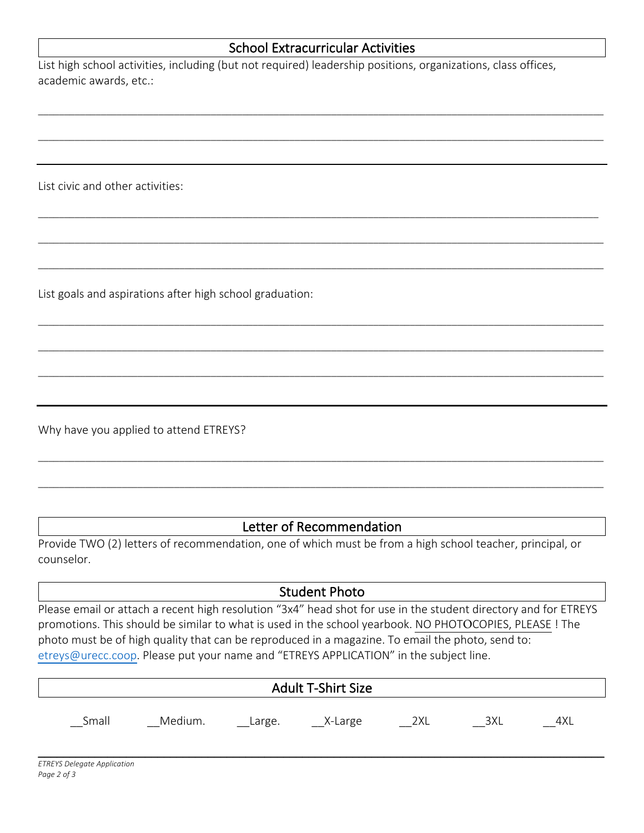## School Extracurricular Activities

\_\_\_\_\_\_\_\_\_\_\_\_\_\_\_\_\_\_\_\_\_\_\_\_\_\_\_\_\_\_\_\_\_\_\_\_\_\_\_\_\_\_\_\_\_\_\_\_\_\_\_\_\_\_\_\_\_\_\_\_\_\_\_\_\_\_\_\_\_\_\_\_\_\_\_\_\_\_\_\_\_\_\_\_\_\_\_\_\_\_\_\_\_\_\_\_\_\_\_\_\_\_\_\_\_\_\_\_

\_\_\_\_\_\_\_\_\_\_\_\_\_\_\_\_\_\_\_\_\_\_\_\_\_\_\_\_\_\_\_\_\_\_\_\_\_\_\_\_\_\_\_\_\_\_\_\_\_\_\_\_\_\_\_\_\_\_\_\_\_\_\_\_\_\_\_\_\_\_\_\_\_\_\_\_\_\_\_\_\_\_\_\_\_\_\_\_\_\_\_\_\_\_\_\_\_\_\_\_\_\_\_\_\_\_\_\_

\_\_\_\_\_\_\_\_\_\_\_\_\_\_\_\_\_\_\_\_\_\_\_\_\_\_\_\_\_\_\_\_\_\_\_\_\_\_\_\_\_\_\_\_\_\_\_\_\_\_\_\_\_\_\_\_\_\_\_\_\_\_\_\_\_\_\_\_\_\_\_\_\_\_\_\_\_\_\_\_\_\_\_\_\_\_\_\_\_\_\_\_\_\_\_\_\_\_\_\_\_\_\_\_\_\_\_

\_\_\_\_\_\_\_\_\_\_\_\_\_\_\_\_\_\_\_\_\_\_\_\_\_\_\_\_\_\_\_\_\_\_\_\_\_\_\_\_\_\_\_\_\_\_\_\_\_\_\_\_\_\_\_\_\_\_\_\_\_\_\_\_\_\_\_\_\_\_\_\_\_\_\_\_\_\_\_\_\_\_\_\_\_\_\_\_\_\_\_\_\_\_\_\_\_\_\_\_\_\_\_\_\_\_\_\_

\_\_\_\_\_\_\_\_\_\_\_\_\_\_\_\_\_\_\_\_\_\_\_\_\_\_\_\_\_\_\_\_\_\_\_\_\_\_\_\_\_\_\_\_\_\_\_\_\_\_\_\_\_\_\_\_\_\_\_\_\_\_\_\_\_\_\_\_\_\_\_\_\_\_\_\_\_\_\_\_\_\_\_\_\_\_\_\_\_\_\_\_\_\_\_\_\_\_\_\_\_\_\_\_\_\_\_\_

\_\_\_\_\_\_\_\_\_\_\_\_\_\_\_\_\_\_\_\_\_\_\_\_\_\_\_\_\_\_\_\_\_\_\_\_\_\_\_\_\_\_\_\_\_\_\_\_\_\_\_\_\_\_\_\_\_\_\_\_\_\_\_\_\_\_\_\_\_\_\_\_\_\_\_\_\_\_\_\_\_\_\_\_\_\_\_\_\_\_\_\_\_\_\_\_\_\_\_\_\_\_\_\_\_\_\_\_

\_\_\_\_\_\_\_\_\_\_\_\_\_\_\_\_\_\_\_\_\_\_\_\_\_\_\_\_\_\_\_\_\_\_\_\_\_\_\_\_\_\_\_\_\_\_\_\_\_\_\_\_\_\_\_\_\_\_\_\_\_\_\_\_\_\_\_\_\_\_\_\_\_\_\_\_\_\_\_\_\_\_\_\_\_\_\_\_\_\_\_\_\_\_\_\_\_\_\_\_\_\_\_\_\_\_\_\_

\_\_\_\_\_\_\_\_\_\_\_\_\_\_\_\_\_\_\_\_\_\_\_\_\_\_\_\_\_\_\_\_\_\_\_\_\_\_\_\_\_\_\_\_\_\_\_\_\_\_\_\_\_\_\_\_\_\_\_\_\_\_\_\_\_\_\_\_\_\_\_\_\_\_\_\_\_\_\_\_\_\_\_\_\_\_\_\_\_\_\_\_\_\_\_\_\_\_\_\_\_\_\_\_\_\_\_\_

List high school activities, including (but not required) leadership positions, organizations, class offices, academic awards, etc.:

List civic and other activities:

List goals and aspirations after high school graduation:

Why have you applied to attend ETREYS?

## Letter of Recommendation

\_\_\_\_\_\_\_\_\_\_\_\_\_\_\_\_\_\_\_\_\_\_\_\_\_\_\_\_\_\_\_\_\_\_\_\_\_\_\_\_\_\_\_\_\_\_\_\_\_\_\_\_\_\_\_\_\_\_\_\_\_\_\_\_\_\_\_\_\_\_\_\_\_\_\_\_\_\_\_\_\_\_\_\_\_\_\_\_\_\_\_\_\_\_\_\_\_\_\_\_\_\_\_\_\_\_\_\_

\_\_\_\_\_\_\_\_\_\_\_\_\_\_\_\_\_\_\_\_\_\_\_\_\_\_\_\_\_\_\_\_\_\_\_\_\_\_\_\_\_\_\_\_\_\_\_\_\_\_\_\_\_\_\_\_\_\_\_\_\_\_\_\_\_\_\_\_\_\_\_\_\_\_\_\_\_\_\_\_\_\_\_\_\_\_\_\_\_\_\_\_\_\_\_\_\_\_\_\_\_\_\_\_\_\_\_\_

Provide TWO (2) letters of recommendation, one of which must be from a high school teacher, principal, or counselor.

#### Student Photo

Please email or attach a recent high resolution "3x4" head shot for use in the student directory and for ETREYS promotions. This should be similar to what is used in the school yearbook. NO PHOTOCOPIES, PLEASE ! The photo must be of high quality that can be reproduced in a magazine. To email the photo, send to: etreys@urecc.coop. Please put your name and "ETREYS APPLICATION" in the subject line.

| <b>Adult T-Shirt Size</b> |         |          |           |     |     |     |
|---------------------------|---------|----------|-----------|-----|-----|-----|
| Small                     | Medium. | __Large. | __X-Large | 2XL | 3XL | 4XL |